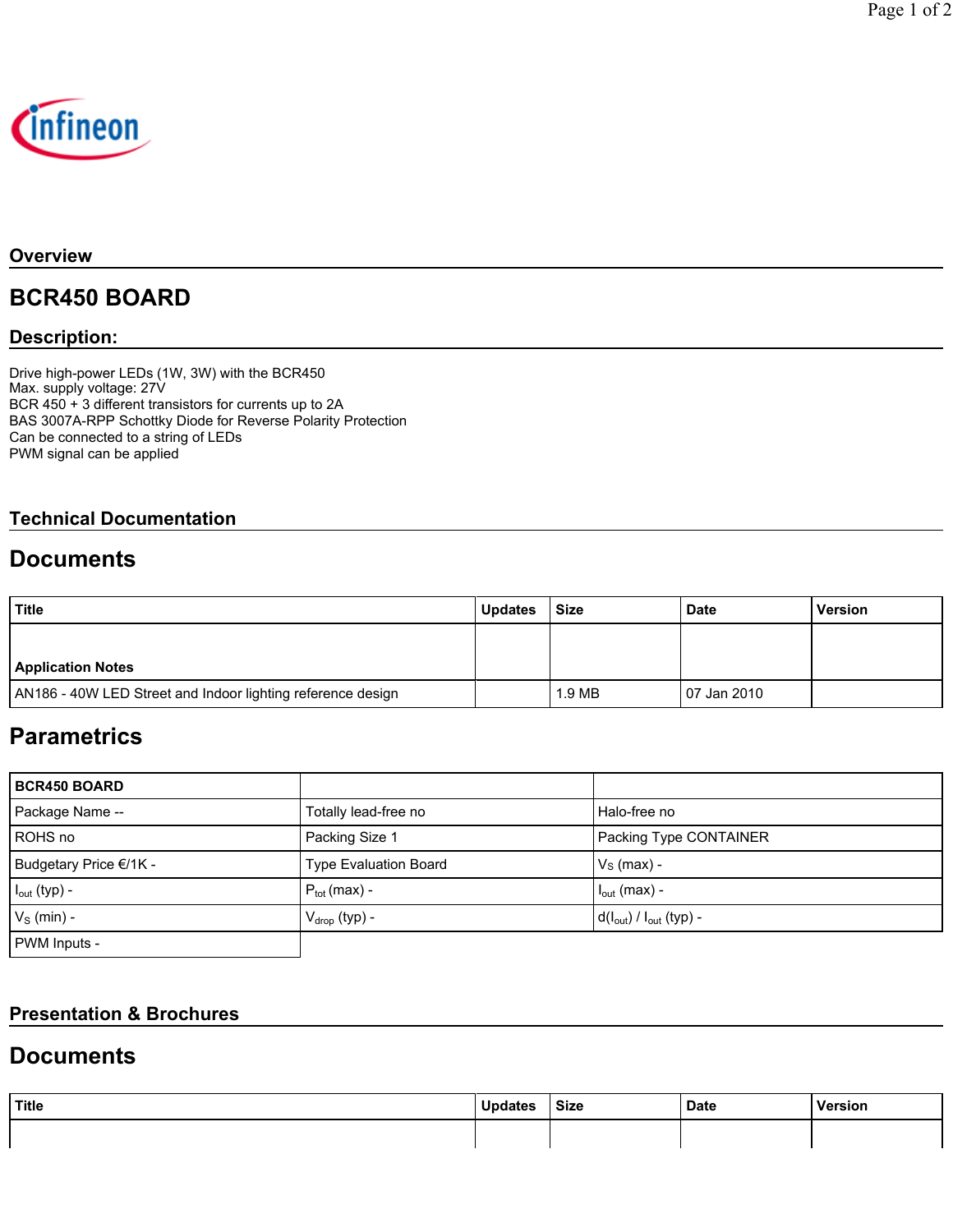

#### **Overview**

# **BCR450 BOARD**

### **Description:**

Drive high-power LEDs (1W, 3W) with the BCR450 Max. supply voltage: 27V BCR 450 + 3 different transistors for currents up to 2A BAS 3007A-RPP Schottky Diode for Reverse Polarity Protection Can be connected to a string of LEDs PWM signal can be applied

### **Technical Documentation**

## **Documents**

| Title                                                       | <b>Updates</b> | Size   | <b>Date</b>  | <b>Version</b> |
|-------------------------------------------------------------|----------------|--------|--------------|----------------|
|                                                             |                |        |              |                |
| <b>Application Notes</b>                                    |                |        |              |                |
| AN186 - 40W LED Street and Indoor lighting reference design |                | 1.9 MB | 107 Jan 2010 |                |

# **Parametrics**

| <b>BCR450 BOARD</b>    |                              |                                |
|------------------------|------------------------------|--------------------------------|
| Package Name --        | Totally lead-free no         | Halo-free no                   |
| ROHS no                | Packing Size 1               | Packing Type CONTAINER         |
| Budgetary Price €/1K - | <b>Type Evaluation Board</b> | $VS$ (max) -                   |
| $I_{out}$ (typ) -      | $P_{\text{tot}}$ (max) -     | $I_{\text{out}}$ (max) -       |
| $V_S$ (min) -          | $V_{drop}$ (typ) -           | $d(I_{out}) / I_{out}$ (typ) - |
| PWM Inputs -           |                              |                                |

### **Presentation & Brochures**

## **Documents**

| Title | <b>Updates</b> | <b>Size</b> | <b>Date</b> | Version |
|-------|----------------|-------------|-------------|---------|
|       |                |             |             |         |